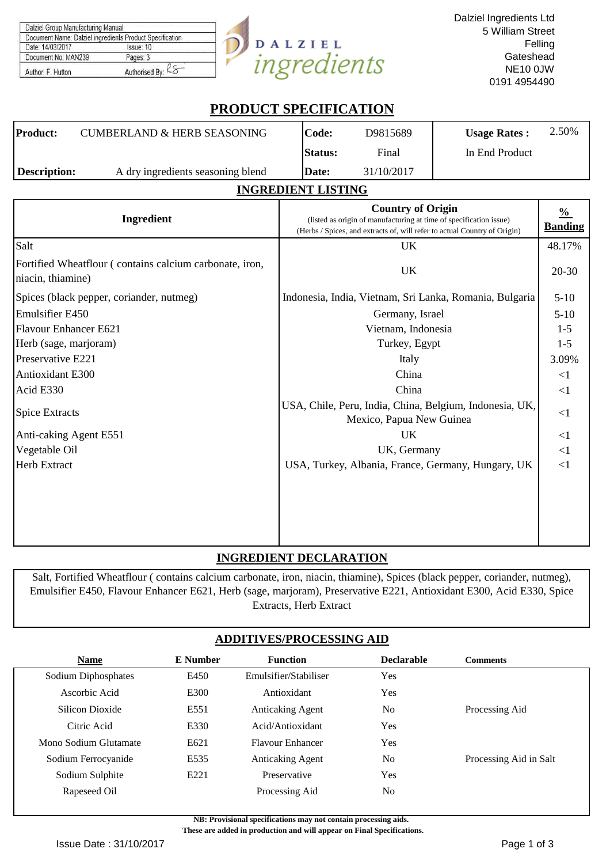| Dalziel Group Manufacturing Manual                       |                |            |
|----------------------------------------------------------|----------------|------------|
| Document Name: Dalziel ingredients Product Specification |                |            |
| Date: 14/03/2017                                         | Issue: 10      | DALZIEL    |
| Document No: MAN239                                      | Pages: 3       |            |
| Author: F. Hutton                                        | Authorised By: | norealents |

# **PRODUCT SPECIFICATION**

| ________________________ |                                        |                |            |                     |       |  |  |
|--------------------------|----------------------------------------|----------------|------------|---------------------|-------|--|--|
| <b>Description:</b>      | A dry ingredients seasoning blend      | Date:          | 31/10/2017 |                     |       |  |  |
|                          |                                        | <b>Status:</b> | Final      | In End Product      |       |  |  |
| <b>Product:</b>          | <b>CUMBERLAND &amp; HERB SEASONING</b> | lCode:         | D9815689   | <b>Usage Rates:</b> | 2.50% |  |  |

## **INGREDIENT LISTING**

| Ingredient                                                                   | <b>Country of Origin</b><br>(listed as origin of manufacturing at time of specification issue)<br>(Herbs / Spices, and extracts of, will refer to actual Country of Origin) | $\frac{0}{0}$<br><b>Banding</b> |
|------------------------------------------------------------------------------|-----------------------------------------------------------------------------------------------------------------------------------------------------------------------------|---------------------------------|
| Salt                                                                         | <b>UK</b>                                                                                                                                                                   | 48.17%                          |
| Fortified Wheatflour (contains calcium carbonate, iron,<br>niacin, thiamine) | <b>UK</b>                                                                                                                                                                   | $20 - 30$                       |
| Spices (black pepper, coriander, nutmeg)                                     | Indonesia, India, Vietnam, Sri Lanka, Romania, Bulgaria                                                                                                                     | $5-10$                          |
| <b>Emulsifier E450</b>                                                       | Germany, Israel                                                                                                                                                             | $5-10$                          |
| <b>Flavour Enhancer E621</b>                                                 | Vietnam, Indonesia                                                                                                                                                          | $1-5$                           |
| Herb (sage, marjoram)                                                        | Turkey, Egypt                                                                                                                                                               | $1 - 5$                         |
| Preservative E221                                                            | Italy                                                                                                                                                                       | 3.09%                           |
| <b>Antioxidant E300</b>                                                      | China                                                                                                                                                                       | $\leq$ 1                        |
| Acid E330                                                                    | China                                                                                                                                                                       | $\leq$ 1                        |
| <b>Spice Extracts</b>                                                        | USA, Chile, Peru, India, China, Belgium, Indonesia, UK,<br>Mexico, Papua New Guinea                                                                                         | <1                              |
| Anti-caking Agent E551                                                       | <b>UK</b>                                                                                                                                                                   | <1                              |
| Vegetable Oil                                                                | UK, Germany                                                                                                                                                                 | $\leq$ 1                        |
| <b>Herb Extract</b>                                                          | USA, Turkey, Albania, France, Germany, Hungary, UK                                                                                                                          | $\leq$ 1                        |
|                                                                              |                                                                                                                                                                             |                                 |

# **INGREDIENT DECLARATION**

Salt, Fortified Wheatflour ( contains calcium carbonate, iron, niacin, thiamine), Spices (black pepper, coriander, nutmeg), Emulsifier E450, Flavour Enhancer E621, Herb (sage, marjoram), Preservative E221, Antioxidant E300, Acid E330, Spice Extracts, Herb Extract

## **ADDITIVES/PROCESSING AID**

| <b>Name</b>           | <b>E</b> Number | <b>Function</b>         | <b>Declarable</b> | <b>Comments</b>        |
|-----------------------|-----------------|-------------------------|-------------------|------------------------|
| Sodium Diphosphates   | E450            | Emulsifier/Stabiliser   | Yes               |                        |
| Ascorbic Acid         | E300            | Antioxidant             | Yes               |                        |
| Silicon Dioxide       | E551            | <b>Anticaking Agent</b> | N <sub>0</sub>    | Processing Aid         |
| Citric Acid           | E330            | Acid/Antioxidant        | Yes               |                        |
| Mono Sodium Glutamate | E621            | <b>Flavour Enhancer</b> | Yes               |                        |
| Sodium Ferrocyanide   | E535            | <b>Anticaking Agent</b> | N <sub>o</sub>    | Processing Aid in Salt |
| Sodium Sulphite       | E221            | Preservative            | <b>Yes</b>        |                        |
| Rapeseed Oil          |                 | Processing Aid          | N <sub>o</sub>    |                        |

**NB: Provisional specifications may not contain processing aids.** 

 **These are added in production and will appear on Final Specifications.**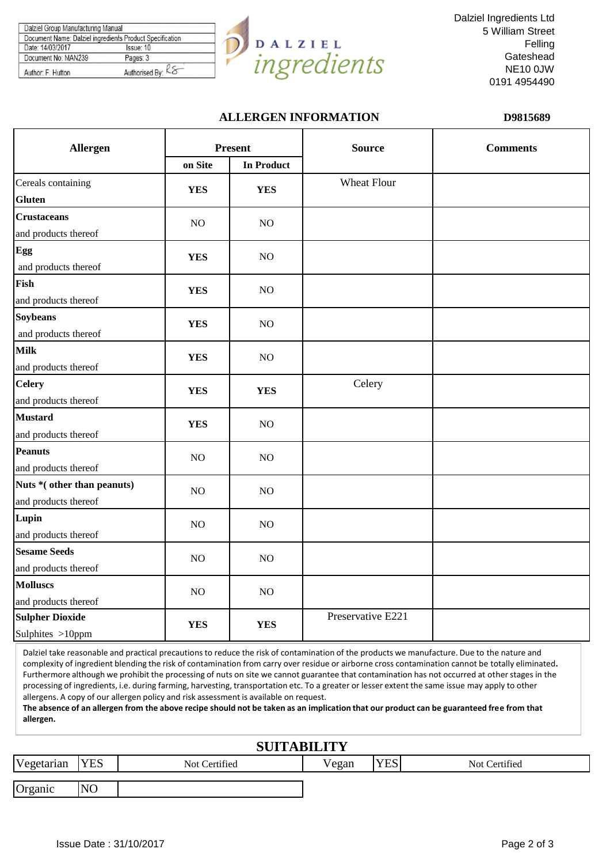| Document Name: Dalziel ingredients Product Specification |
|----------------------------------------------------------|
| Issue: 10                                                |
| Pages: 3                                                 |
| Authorised By: Ko                                        |
|                                                          |



Dalziel Ingredients Ltd 5 William Street Felling **Gateshead** NE10 0JW 0191 4954490

## **ALLERGEN INFORMATION D9815689**

| Allergen                   |            | <b>Present</b>    | <b>Source</b>     | <b>Comments</b> |
|----------------------------|------------|-------------------|-------------------|-----------------|
|                            | on Site    | <b>In Product</b> |                   |                 |
| Cereals containing         | <b>YES</b> | <b>YES</b>        | Wheat Flour       |                 |
| <b>Gluten</b>              |            |                   |                   |                 |
| <b>Crustaceans</b>         | NO         | NO                |                   |                 |
| and products thereof       |            |                   |                   |                 |
| Egg                        | <b>YES</b> | NO                |                   |                 |
| and products thereof       |            |                   |                   |                 |
| Fish                       | <b>YES</b> | NO                |                   |                 |
| and products thereof       |            |                   |                   |                 |
| <b>Soybeans</b>            | <b>YES</b> | NO                |                   |                 |
| and products thereof       |            |                   |                   |                 |
| <b>Milk</b>                | <b>YES</b> | NO                |                   |                 |
| and products thereof       |            |                   |                   |                 |
| <b>Celery</b>              | <b>YES</b> | <b>YES</b>        | Celery            |                 |
| and products thereof       |            |                   |                   |                 |
| <b>Mustard</b>             | <b>YES</b> | NO                |                   |                 |
| and products thereof       |            |                   |                   |                 |
| <b>Peanuts</b>             | NO         | NO                |                   |                 |
| and products thereof       |            |                   |                   |                 |
| Nuts *(other than peanuts) | NO         | NO                |                   |                 |
| and products thereof       |            |                   |                   |                 |
| Lupin                      | NO         | NO                |                   |                 |
| and products thereof       |            |                   |                   |                 |
| <b>Sesame Seeds</b>        | NO         | NO                |                   |                 |
| and products thereof       |            |                   |                   |                 |
| <b>Molluscs</b>            | NO         | NO                |                   |                 |
| and products thereof       |            |                   |                   |                 |
| <b>Sulpher Dioxide</b>     | <b>YES</b> | <b>YES</b>        | Preservative E221 |                 |
| Sulphites >10ppm           |            |                   |                   |                 |

Dalziel take reasonable and practical precautions to reduce the risk of contamination of the products we manufacture. Due to the nature and complexity of ingredient blending the risk of contamination from carry over residue or airborne cross contamination cannot be totally eliminated**.**  Furthermore although we prohibit the processing of nuts on site we cannot guarantee that contamination has not occurred at other stages in the processing of ingredients, i.e. during farming, harvesting, transportation etc. To a greater or lesser extent the same issue may apply to other allergens. A copy of our allergen policy and risk assessment is available on request.

**The absence of an allergen from the above recipe should not be taken as an implication that our product can be guaranteed free from that allergen.**

# **SUITABILITY**

| Vegetarian | <b>YES</b>     | Not Certified | $\mathbf{r}$<br>Vegan | $\Sigma$<br><b>LD</b> | Not Certified |
|------------|----------------|---------------|-----------------------|-----------------------|---------------|
|            |                |               |                       |                       |               |
| Organic    | N <sub>O</sub> |               |                       |                       |               |